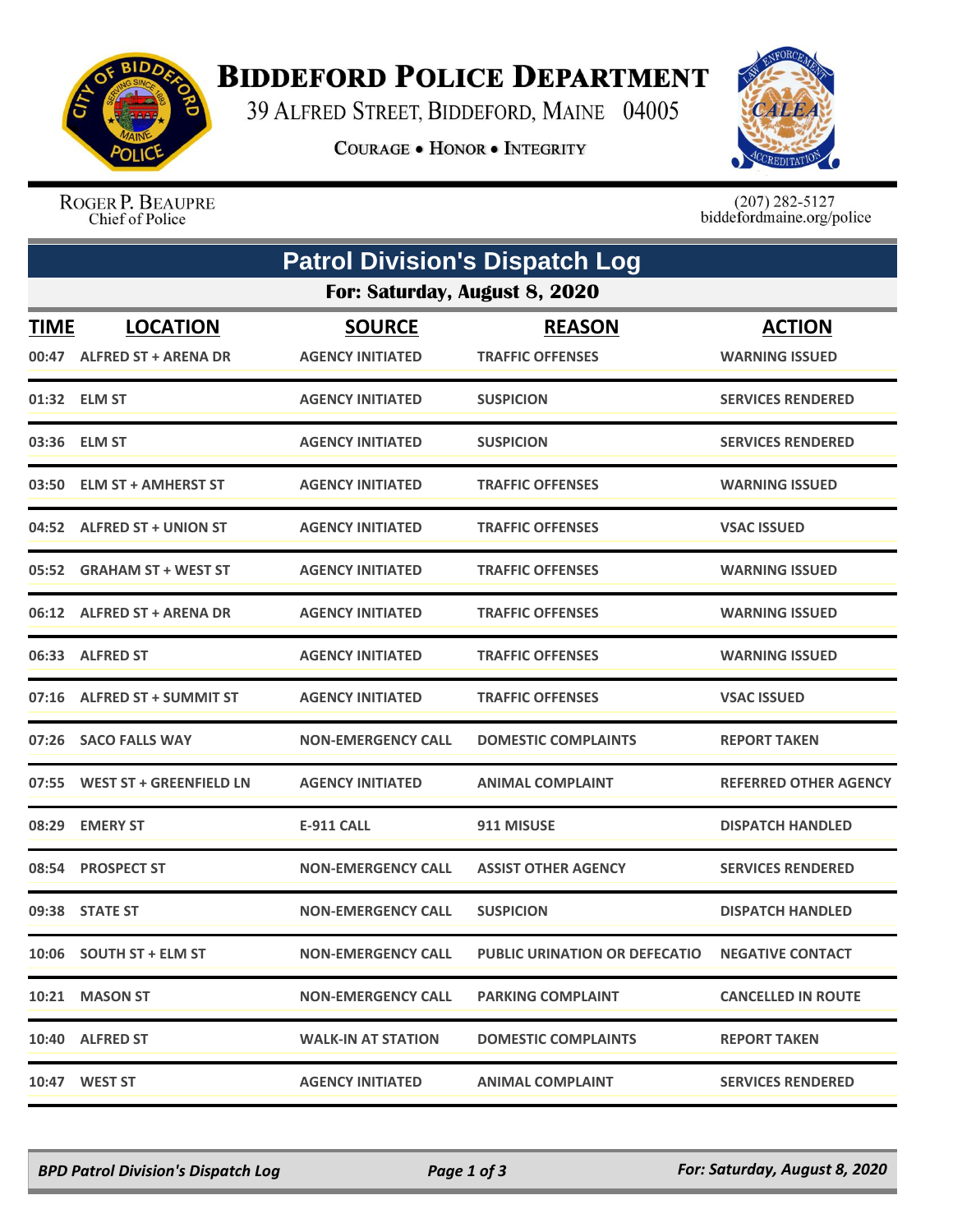

## **BIDDEFORD POLICE DEPARTMENT**

39 ALFRED STREET, BIDDEFORD, MAINE 04005

**COURAGE . HONOR . INTEGRITY** 



ROGER P. BEAUPRE Chief of Police

 $(207)$  282-5127<br>biddefordmaine.org/police

|                               | <b>Patrol Division's Dispatch Log</b>         |                                          |                                          |                                        |  |  |  |
|-------------------------------|-----------------------------------------------|------------------------------------------|------------------------------------------|----------------------------------------|--|--|--|
| For: Saturday, August 8, 2020 |                                               |                                          |                                          |                                        |  |  |  |
| <b>TIME</b>                   | <b>LOCATION</b><br>00:47 ALFRED ST + ARENA DR | <b>SOURCE</b><br><b>AGENCY INITIATED</b> | <b>REASON</b><br><b>TRAFFIC OFFENSES</b> | <b>ACTION</b><br><b>WARNING ISSUED</b> |  |  |  |
|                               | 01:32 ELM ST                                  | <b>AGENCY INITIATED</b>                  | <b>SUSPICION</b>                         | <b>SERVICES RENDERED</b>               |  |  |  |
|                               | 03:36 ELM ST                                  | <b>AGENCY INITIATED</b>                  | <b>SUSPICION</b>                         | <b>SERVICES RENDERED</b>               |  |  |  |
|                               | 03:50 ELM ST + AMHERST ST                     | <b>AGENCY INITIATED</b>                  | <b>TRAFFIC OFFENSES</b>                  | <b>WARNING ISSUED</b>                  |  |  |  |
|                               | 04:52 ALFRED ST + UNION ST                    | <b>AGENCY INITIATED</b>                  | <b>TRAFFIC OFFENSES</b>                  | <b>VSAC ISSUED</b>                     |  |  |  |
|                               | 05:52 GRAHAM ST + WEST ST                     | <b>AGENCY INITIATED</b>                  | <b>TRAFFIC OFFENSES</b>                  | <b>WARNING ISSUED</b>                  |  |  |  |
|                               | 06:12 ALFRED ST + ARENA DR                    | <b>AGENCY INITIATED</b>                  | <b>TRAFFIC OFFENSES</b>                  | <b>WARNING ISSUED</b>                  |  |  |  |
|                               | 06:33 ALFRED ST                               | <b>AGENCY INITIATED</b>                  | <b>TRAFFIC OFFENSES</b>                  | <b>WARNING ISSUED</b>                  |  |  |  |
|                               | 07:16 ALFRED ST + SUMMIT ST                   | <b>AGENCY INITIATED</b>                  | <b>TRAFFIC OFFENSES</b>                  | <b>VSAC ISSUED</b>                     |  |  |  |
|                               | 07:26 SACO FALLS WAY                          | <b>NON-EMERGENCY CALL</b>                | <b>DOMESTIC COMPLAINTS</b>               | <b>REPORT TAKEN</b>                    |  |  |  |
|                               | 07:55 WEST ST + GREENFIELD LN                 | <b>AGENCY INITIATED</b>                  | <b>ANIMAL COMPLAINT</b>                  | <b>REFERRED OTHER AGENCY</b>           |  |  |  |
| 08:29                         | <b>EMERY ST</b>                               | <b>E-911 CALL</b>                        | 911 MISUSE                               | <b>DISPATCH HANDLED</b>                |  |  |  |
|                               | 08:54 PROSPECT ST                             | <b>NON-EMERGENCY CALL</b>                | <b>ASSIST OTHER AGENCY</b>               | <b>SERVICES RENDERED</b>               |  |  |  |
|                               | 09:38 STATE ST                                | <b>NON-EMERGENCY CALL</b>                | <b>SUSPICION</b>                         | <b>DISPATCH HANDLED</b>                |  |  |  |
|                               | 10:06 SOUTH ST + ELM ST                       | <b>NON-EMERGENCY CALL</b>                | <b>PUBLIC URINATION OR DEFECATIO</b>     | <b>NEGATIVE CONTACT</b>                |  |  |  |
|                               | 10:21 MASON ST                                | <b>NON-EMERGENCY CALL</b>                | <b>PARKING COMPLAINT</b>                 | <b>CANCELLED IN ROUTE</b>              |  |  |  |
|                               | 10:40 ALFRED ST                               | <b>WALK-IN AT STATION</b>                | <b>DOMESTIC COMPLAINTS</b>               | <b>REPORT TAKEN</b>                    |  |  |  |
|                               | 10:47 WEST ST                                 | <b>AGENCY INITIATED</b>                  | <b>ANIMAL COMPLAINT</b>                  | <b>SERVICES RENDERED</b>               |  |  |  |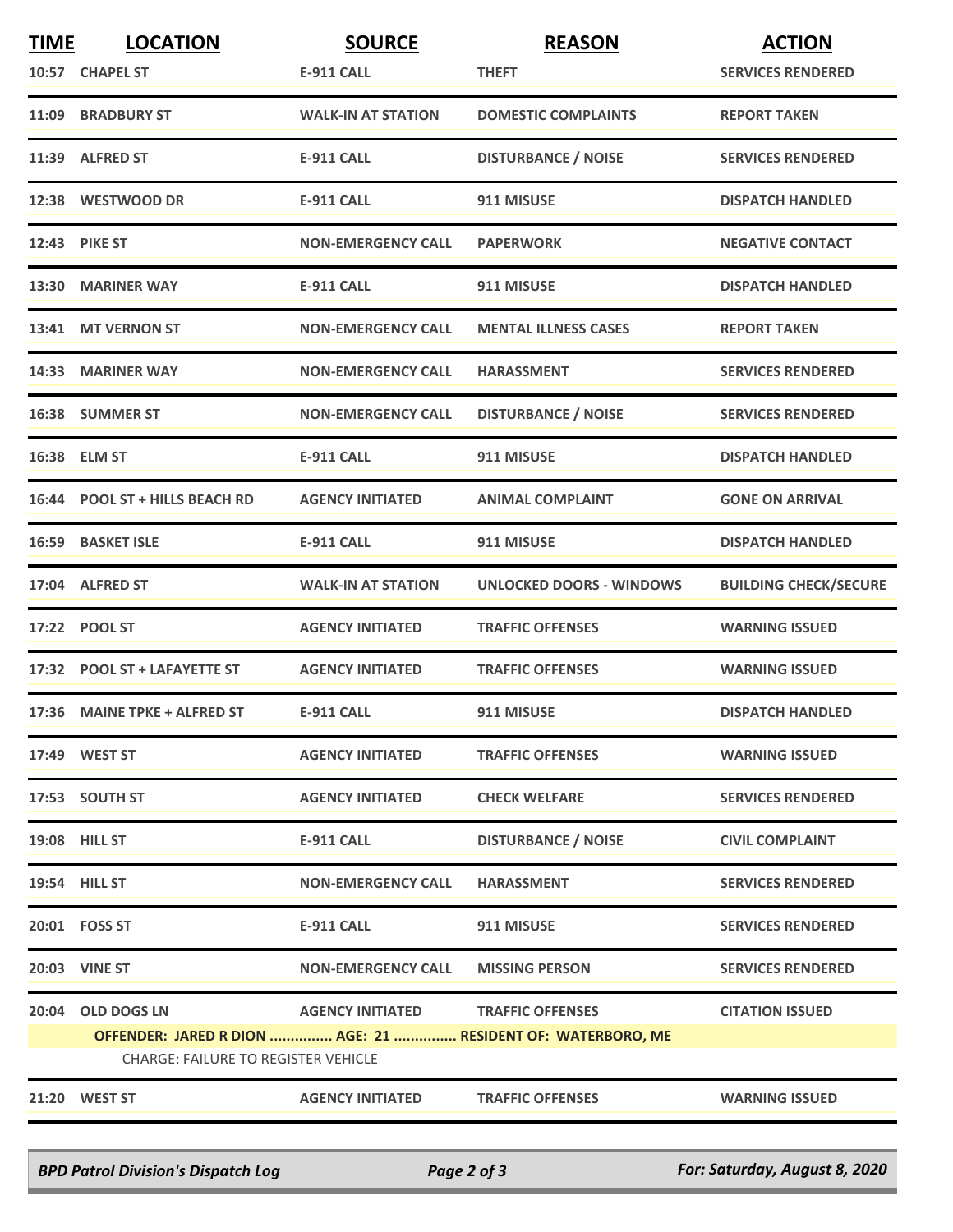| <b>TIME</b> | <b>LOCATION</b>                            | <b>SOURCE</b>             | <b>REASON</b>                                               | <b>ACTION</b>                |  |  |
|-------------|--------------------------------------------|---------------------------|-------------------------------------------------------------|------------------------------|--|--|
|             | 10:57 CHAPEL ST                            | <b>E-911 CALL</b>         | <b>THEFT</b>                                                | <b>SERVICES RENDERED</b>     |  |  |
|             | 11:09 BRADBURY ST                          | <b>WALK-IN AT STATION</b> | <b>DOMESTIC COMPLAINTS</b>                                  | <b>REPORT TAKEN</b>          |  |  |
|             | 11:39 ALFRED ST                            | <b>E-911 CALL</b>         | <b>DISTURBANCE / NOISE</b>                                  | <b>SERVICES RENDERED</b>     |  |  |
|             | 12:38 WESTWOOD DR                          | <b>E-911 CALL</b>         | 911 MISUSE                                                  | <b>DISPATCH HANDLED</b>      |  |  |
|             | 12:43 PIKE ST                              | <b>NON-EMERGENCY CALL</b> | <b>PAPERWORK</b>                                            | <b>NEGATIVE CONTACT</b>      |  |  |
|             | 13:30 MARINER WAY                          | <b>E-911 CALL</b>         | 911 MISUSE                                                  | <b>DISPATCH HANDLED</b>      |  |  |
|             | 13:41 MT VERNON ST                         | <b>NON-EMERGENCY CALL</b> | <b>MENTAL ILLNESS CASES</b>                                 | <b>REPORT TAKEN</b>          |  |  |
|             | 14:33 MARINER WAY                          | <b>NON-EMERGENCY CALL</b> | <b>HARASSMENT</b>                                           | <b>SERVICES RENDERED</b>     |  |  |
|             | 16:38 SUMMER ST                            | <b>NON-EMERGENCY CALL</b> | <b>DISTURBANCE / NOISE</b>                                  | <b>SERVICES RENDERED</b>     |  |  |
|             | 16:38 ELM ST                               | <b>E-911 CALL</b>         | 911 MISUSE                                                  | <b>DISPATCH HANDLED</b>      |  |  |
|             | 16:44 POOL ST + HILLS BEACH RD             | <b>AGENCY INITIATED</b>   | <b>ANIMAL COMPLAINT</b>                                     | <b>GONE ON ARRIVAL</b>       |  |  |
|             | 16:59 BASKET ISLE                          | <b>E-911 CALL</b>         | 911 MISUSE                                                  | <b>DISPATCH HANDLED</b>      |  |  |
|             | 17:04 ALFRED ST                            | <b>WALK-IN AT STATION</b> | <b>UNLOCKED DOORS - WINDOWS</b>                             | <b>BUILDING CHECK/SECURE</b> |  |  |
|             | 17:22 POOL ST                              | <b>AGENCY INITIATED</b>   | <b>TRAFFIC OFFENSES</b>                                     | <b>WARNING ISSUED</b>        |  |  |
|             | 17:32 POOL ST + LAFAYETTE ST               | <b>AGENCY INITIATED</b>   | <b>TRAFFIC OFFENSES</b>                                     | <b>WARNING ISSUED</b>        |  |  |
|             | 17:36 MAINE TPKE + ALFRED ST               | <b>E-911 CALL</b>         | 911 MISUSE                                                  | <b>DISPATCH HANDLED</b>      |  |  |
|             | 17:49 WEST ST                              | <b>AGENCY INITIATED</b>   | <b>TRAFFIC OFFENSES</b>                                     | <b>WARNING ISSUED</b>        |  |  |
|             | 17:53 SOUTH ST                             | <b>AGENCY INITIATED</b>   | <b>CHECK WELFARE</b>                                        | <b>SERVICES RENDERED</b>     |  |  |
|             | 19:08 HILL ST                              | <b>E-911 CALL</b>         | <b>DISTURBANCE / NOISE</b>                                  | <b>CIVIL COMPLAINT</b>       |  |  |
|             | 19:54 HILL ST                              | <b>NON-EMERGENCY CALL</b> | <b>HARASSMENT</b>                                           | <b>SERVICES RENDERED</b>     |  |  |
|             | 20:01  FOSS ST                             | <b>E-911 CALL</b>         | 911 MISUSE                                                  | <b>SERVICES RENDERED</b>     |  |  |
|             | <b>20:03 VINE ST</b>                       | <b>NON-EMERGENCY CALL</b> | <b>MISSING PERSON</b>                                       | <b>SERVICES RENDERED</b>     |  |  |
|             | 20:04 OLD DOGS LN                          | <b>AGENCY INITIATED</b>   | <b>TRAFFIC OFFENSES</b>                                     | <b>CITATION ISSUED</b>       |  |  |
|             | <b>CHARGE: FAILURE TO REGISTER VEHICLE</b> |                           | OFFENDER: JARED R DION  AGE: 21  RESIDENT OF: WATERBORO, ME |                              |  |  |
|             |                                            |                           |                                                             |                              |  |  |
|             | 21:20 WEST ST                              | <b>AGENCY INITIATED</b>   | <b>TRAFFIC OFFENSES</b>                                     | <b>WARNING ISSUED</b>        |  |  |

*BPD Patrol Division's Dispatch Log Page 2 of 3 For: Saturday, August 8, 2020*